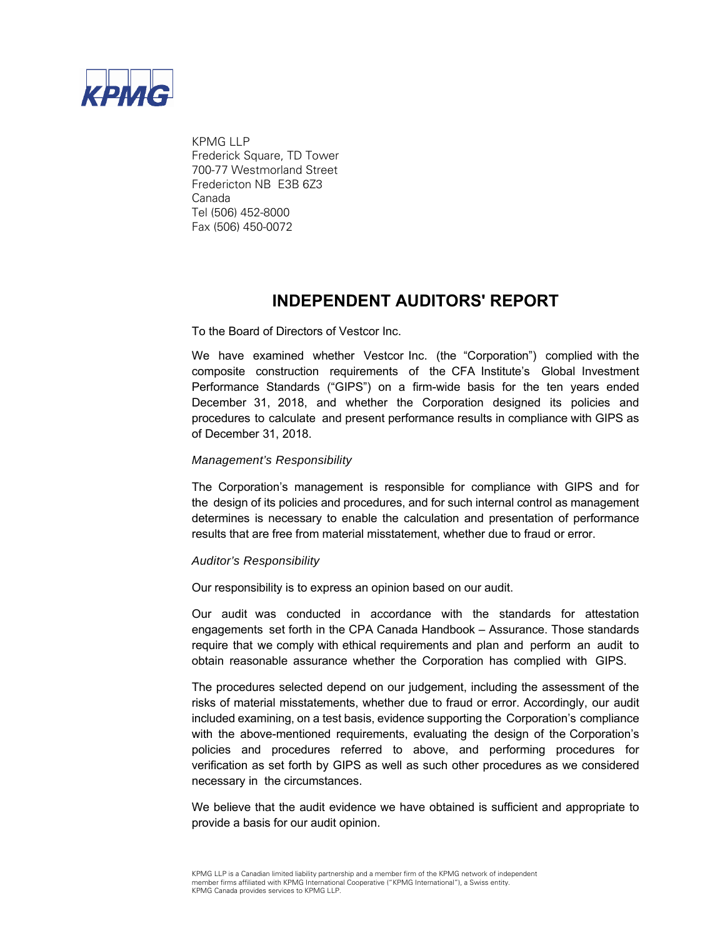

KPMG I I P Frederick Square, TD Tower 700-77 Westmorland Street Fredericton NB E3B 6Z3 Canada Tel (506) 452-8000 Fax (506) 450-0072

## **INDEPENDENT AUDITORS' REPORT**

To the Board of Directors of Vestcor Inc.

We have examined whether Vestcor Inc. (the "Corporation") complied with the composite construction requirements of the CFA Institute's Global Investment Performance Standards ("GIPS") on a firm-wide basis for the ten years ended December 31, 2018, and whether the Corporation designed its policies and procedures to calculate and present performance results in compliance with GIPS as of December 31, 2018.

## *Management's Responsibility*

The Corporation's management is responsible for compliance with GIPS and for the design of its policies and procedures, and for such internal control as management determines is necessary to enable the calculation and presentation of performance results that are free from material misstatement, whether due to fraud or error.

## *Auditor's Responsibility*

Our responsibility is to express an opinion based on our audit.

Our audit was conducted in accordance with the standards for attestation engagements set forth in the CPA Canada Handbook – Assurance. Those standards require that we comply with ethical requirements and plan and perform an audit to obtain reasonable assurance whether the Corporation has complied with GIPS.

The procedures selected depend on our judgement, including the assessment of the risks of material misstatements, whether due to fraud or error. Accordingly, our audit included examining, on a test basis, evidence supporting the Corporation's compliance with the above-mentioned requirements, evaluating the design of the Corporation's policies and procedures referred to above, and performing procedures for verification as set forth by GIPS as well as such other procedures as we considered necessary in the circumstances.

We believe that the audit evidence we have obtained is sufficient and appropriate to provide a basis for our audit opinion.